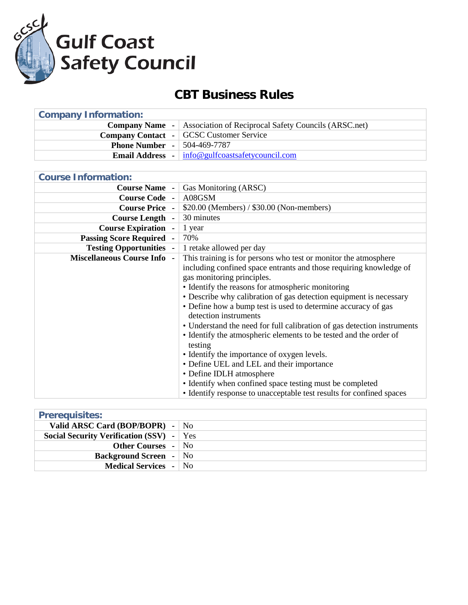

## **CBT Business Rules**

| <b>Company Name</b> -   Association of Reciprocal Safety Councils (ARSC.net) |
|------------------------------------------------------------------------------|
| <b>Company Contact</b> - GCSC Customer Service                               |
| <b>Phone Number -   504-469-7787</b>                                         |
| <b>Email Address</b> - $ $ info@gulfcoastsafetycouncil.com                   |
|                                                                              |

| <b>Course Information:</b>         |                                                                         |
|------------------------------------|-------------------------------------------------------------------------|
| <b>Course Name -</b>               | Gas Monitoring (ARSC)                                                   |
| <b>Course Code -</b>               | A08GSM                                                                  |
| <b>Course Price -</b>              | \$20.00 (Members) / \$30.00 (Non-members)                               |
| <b>Course Length -</b>             | 30 minutes                                                              |
| <b>Course Expiration -</b>         | 1 year                                                                  |
| <b>Passing Score Required</b>      | 70%                                                                     |
| <b>Testing Opportunities -</b>     | 1 retake allowed per day                                                |
| <b>Miscellaneous Course Info -</b> | This training is for persons who test or monitor the atmosphere         |
|                                    | including confined space entrants and those requiring knowledge of      |
|                                    | gas monitoring principles.                                              |
|                                    | • Identify the reasons for atmospheric monitoring                       |
|                                    | • Describe why calibration of gas detection equipment is necessary      |
|                                    | • Define how a bump test is used to determine accuracy of gas           |
|                                    | detection instruments                                                   |
|                                    | • Understand the need for full calibration of gas detection instruments |
|                                    | • Identify the atmospheric elements to be tested and the order of       |
|                                    | testing                                                                 |
|                                    | • Identify the importance of oxygen levels.                             |
|                                    | • Define UEL and LEL and their importance                               |
|                                    | • Define IDLH atmosphere                                                |
|                                    | • Identify when confined space testing must be completed                |
|                                    | • Identify response to unacceptable test results for confined spaces    |

| <b>Prerequisites:</b>                           |  |
|-------------------------------------------------|--|
| Valid ARSC Card (BOP/BOPR) - $\vert$ No         |  |
| <b>Social Security Verification (SSV)</b> - Yes |  |
| <b>Other Courses</b> - No                       |  |
| <b>Background Screen</b> - No                   |  |
| <b>Medical Services</b> - No                    |  |